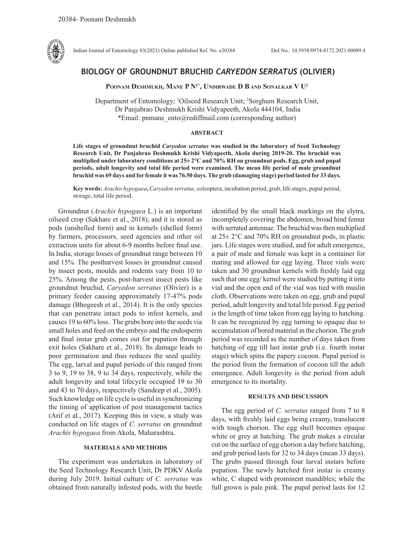

Indian Journal of Entomology 83(2021) Online published Ref. No. e20384 DoI No.: 10.5958/0974-8172.2021.00089.4

# **BIOLOGY OF GROUNDNUT BRUCHID** *CARYEDON SERRATUS* **(OLIVIER)**

**Poonam Deshmukh, Mane P N1\*, Undirwade D B and Sonalkar V U2**

Department of Entomology; <sup>1</sup>Oilseed Research Unit; <sup>2</sup>Sorghum Research Unit, Dr Panjabrao Deshmukh Krishi Vidyapeeth, Akola 444104, India \*Email: pnmane\_ento@rediffmail.com (corresponding author)

## **ABSTRACT**

**Life stages of groundnut bruchid** *Caryedon serratus* **was studied in the laboratory of Seed Technology Research Unit, Dr Panjabrao Deshmukh Krishi Vidyapeeth, Akola during 2019-20. The bruchid was multiplied under laboratory conditions at 25± 2°C and 70% RH on groundnut pods. Egg, grub and pupal periods, adult longevity and total life period were examined. The mean life period of male groundnut bruchid was 69 days and for female it was 76.50 days. The grub (damaging stage) period lasted for 33 days.** 

**Key words:** *Arachis hypogaea***,** *Caryedon serratus*, coleoptera, incubation period, grub, life stages, pupal period, storage, total life period.

Groundnut (*Arachis hypogaea* L.) is an important oilseed crop (Sakhare et al., 2018), and it is stored as pods (unshelled form) and in kernels (shelled form) by farmers, processors, seed agencies and other oil extraction units for about 6-9 months before final use. In India, storage losses of groundnut range between 10 and 15%. The postharvest losses in groundnut caused by insect pests, moulds and rodents vary from 10 to 25%. Among the pests, post-harvest insect pests like groundnut bruchid, *Caryedon serratus* (Olivier) is a primary feeder causing approximately 17-47% pods damage (Bhogeesh et al., 2014). It is the only species that can penetrate intact pods to infest kernels, and causes 19 to 60% loss. The grubs bore into the seeds via small holes and feed on the embryo and the endosperm and final instar grub comes out for pupation through exit holes (Sakhare et al., 2018). Its damage leads to poor germination and thus reduces the seed quality. The egg, larval and pupal periods of this ranged from 3 to 9, 19 to 38, 9 to 34 days, respectively, while the adult longevity and total lifecycle occupied 19 to 30 and 43 to 70 days, respectively (Sandeep et al., 2005). Such knowledge on life cycle is useful in synchronizing the timing of application of pest management tactics (Arif et al., 2017). Keeping this in view, a study was conducted on life stages of *C. serratus* on groundnut *Arachis hypogaea* from Akola, Maharashtra.

## **MATERIALS AND METHODS**

The experiment was undertaken in laboratory of the Seed Technology Research Unit, Dr PDKV Akola during July 2019. Initial culture of *C. serratus* was obtained from naturally infested pods, with the beetle

identified by the small black markings on the elytra, incompletely covering the abdomen, broad hind femur with serrated antennae. The bruchid was then multiplied at 25± 2°C and 70% RH on groundnut pods, in plastic jars. Life stages were studied, and for adult emergence, a pair of male and female was kept in a container for mating and allowed for egg laying. Three vials were taken and 30 groundnut kernels with freshly laid egg such that one egg/ kernel were studied by putting it into vial and the open end of the vial was tied with muslin cloth. Observations were taken on egg, grub and pupal period, adult longevity and total life period. Egg period is the length of time taken from egg laying to hatching. It can be recognized by egg turning to opaque due to accumulation of bored material in the chorion. The grub period was recorded as the number of days taken from hatching of egg till last instar grub (i.e. fourth instar stage) which spins the papery cocoon. Pupal period is the period from the formation of cocoon till the adult emergence. Adult longevity is the period from adult emergence to its mortality.

### **RESULTS AND DISCUSSION**

The egg period of *C. serratus* ranged from 7 to 8 days, with freshly laid eggs being creamy, translucent with tough chorion. The egg shell becomes opaque white or grey at hatching. The grub makes a circular cut on the surface of egg chorion a day before hatching, and grub period lasts for 32 to 34 days (mean 33 days). The grubs passed through four larval instars before pupation. The newly hatched first instar is creamy white, C shaped with prominent mandibles; while the full grown is pale pink. The pupal period lasts for 12